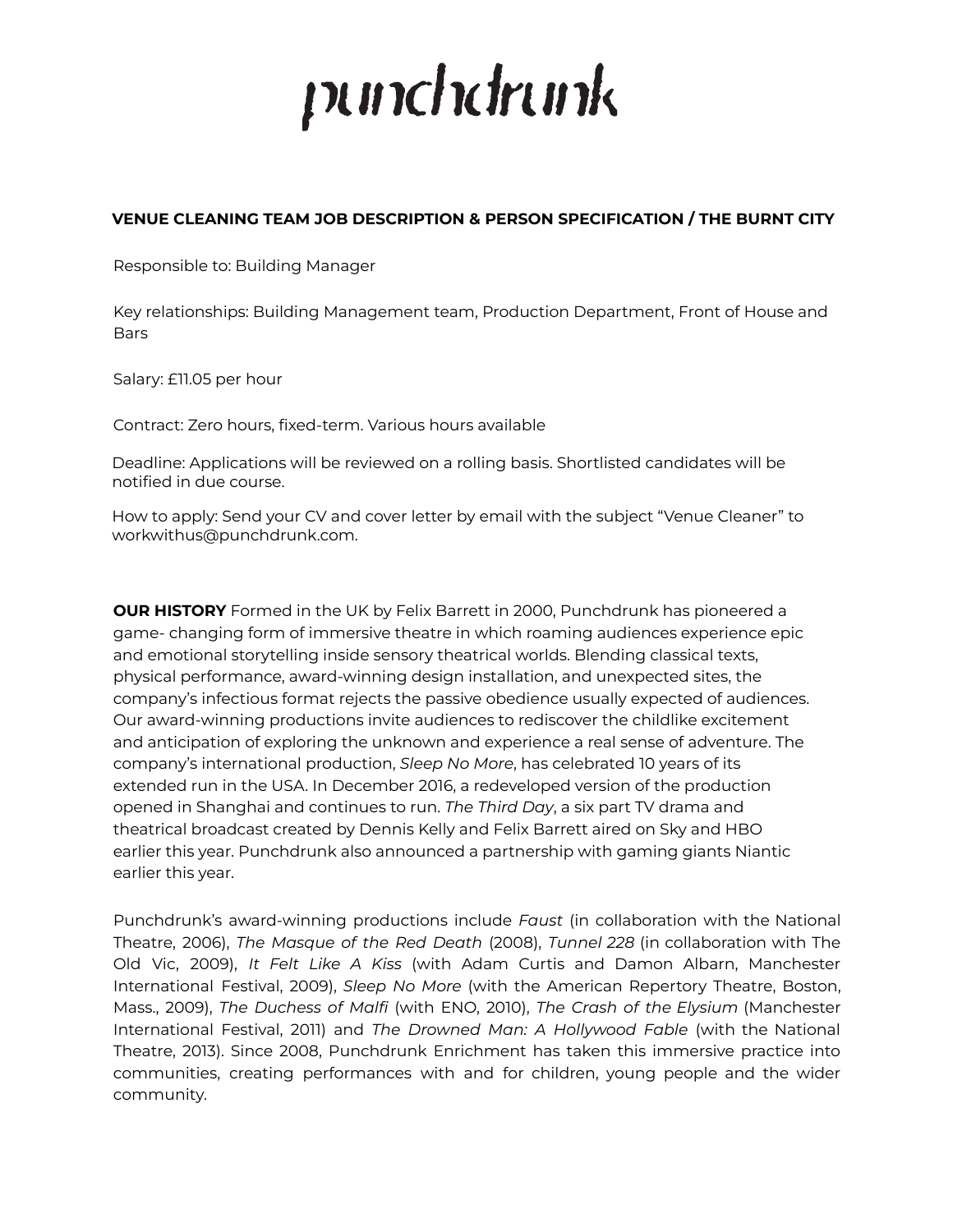# punchdrunk

# **VENUE CLEANING TEAM JOB DESCRIPTION & PERSON SPECIFICATION / THE BURNT CITY**

Responsible to: Building Manager

Key relationships: Building Management team, Production Department, Front of House and **Bars** 

Salary: £11.05 per hour

Contract: Zero hours, fixed-term. Various hours available

Deadline: Applications will be reviewed on a rolling basis. Shortlisted candidates will be notified in due course.

How to apply: Send your CV and cover letter by email with the subject "Venue Cleaner" to workwithus@punchdrunk.com.

**OUR HISTORY** Formed in the UK by Felix Barrett in 2000, Punchdrunk has pioneered a game- changing form of immersive theatre in which roaming audiences experience epic and emotional storytelling inside sensory theatrical worlds. Blending classical texts, physical performance, award-winning design installation, and unexpected sites, the company's infectious format rejects the passive obedience usually expected of audiences. Our award-winning productions invite audiences to rediscover the childlike excitement and anticipation of exploring the unknown and experience a real sense of adventure. The company's international production, *Sleep No More*, has celebrated 10 years of its extended run in the USA. In December 2016, a redeveloped version of the production opened in Shanghai and continues to run. *The Third Day*, a six part TV drama and theatrical broadcast created by Dennis Kelly and Felix Barrett aired on Sky and HBO earlier this year. Punchdrunk also announced a partnership with gaming giants Niantic earlier this year.

Punchdrunk's award-winning productions include *Faust* (in collaboration with the National Theatre, 2006), *The Masque of the Red Death* (2008), *Tunnel 228* (in collaboration with The Old Vic, 2009), *It Felt Like A Kiss* (with Adam Curtis and Damon Albarn, Manchester International Festival, 2009), *Sleep No More* (with the American Repertory Theatre, Boston, Mass., 2009), *The Duchess of Malfi* (with ENO, 2010), *The Crash of the Elysium* (Manchester International Festival, 2011) and *The Drowned Man: A Hollywood Fable* (with the National Theatre, 2013). Since 2008, Punchdrunk Enrichment has taken this immersive practice into communities, creating performances with and for children, young people and the wider community.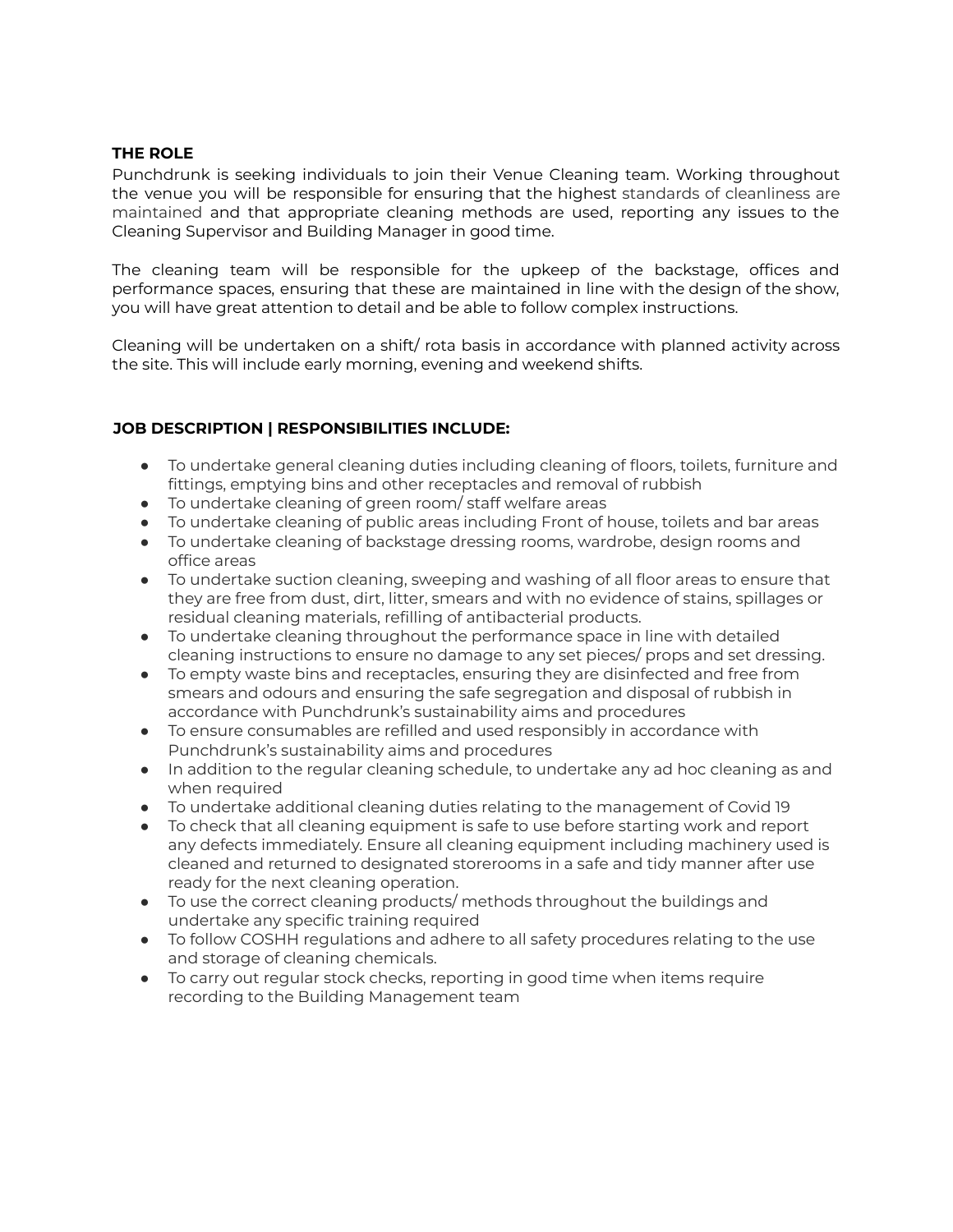# **THE ROLE**

Punchdrunk is seeking individuals to join their Venue Cleaning team. Working throughout the venue you will be responsible for ensuring that the highest standards of cleanliness are maintained and that appropriate cleaning methods are used, reporting any issues to the Cleaning Supervisor and Building Manager in good time.

The cleaning team will be responsible for the upkeep of the backstage, offices and performance spaces, ensuring that these are maintained in line with the design of the show, you will have great attention to detail and be able to follow complex instructions.

Cleaning will be undertaken on a shift/ rota basis in accordance with planned activity across the site. This will include early morning, evening and weekend shifts.

# **JOB DESCRIPTION | RESPONSIBILITIES INCLUDE:**

- To undertake general cleaning duties including cleaning of floors, toilets, furniture and fittings, emptying bins and other receptacles and removal of rubbish
- To undertake cleaning of green room/ staff welfare areas
- To undertake cleaning of public areas including Front of house, toilets and bar areas
- To undertake cleaning of backstage dressing rooms, wardrobe, design rooms and office areas
- To undertake suction cleaning, sweeping and washing of all floor areas to ensure that they are free from dust, dirt, litter, smears and with no evidence of stains, spillages or residual cleaning materials, refilling of antibacterial products.
- To undertake cleaning throughout the performance space in line with detailed cleaning instructions to ensure no damage to any set pieces/ props and set dressing.
- To empty waste bins and receptacles, ensuring they are disinfected and free from smears and odours and ensuring the safe segregation and disposal of rubbish in accordance with Punchdrunk's sustainability aims and procedures
- To ensure consumables are refilled and used responsibly in accordance with Punchdrunk's sustainability aims and procedures
- In addition to the regular cleaning schedule, to undertake any ad hoc cleaning as and when required
- To undertake additional cleaning duties relating to the management of Covid 19
- To check that all cleaning equipment is safe to use before starting work and report any defects immediately. Ensure all cleaning equipment including machinery used is cleaned and returned to designated storerooms in a safe and tidy manner after use ready for the next cleaning operation.
- To use the correct cleaning products/ methods throughout the buildings and undertake any specific training required
- To follow COSHH regulations and adhere to all safety procedures relating to the use and storage of cleaning chemicals.
- To carry out regular stock checks, reporting in good time when items require recording to the Building Management team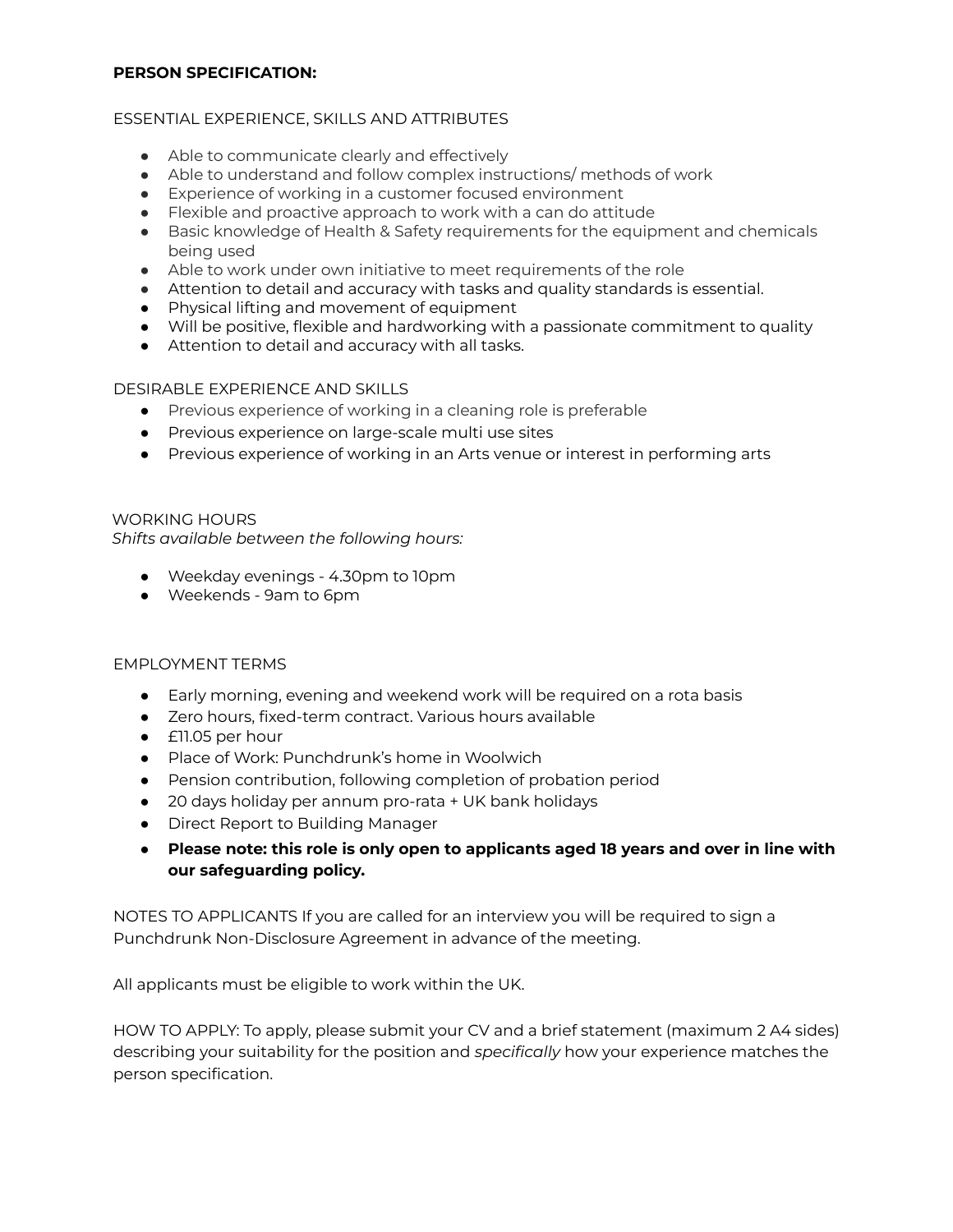#### **PERSON SPECIFICATION:**

# ESSENTIAL EXPERIENCE, SKILLS AND ATTRIBUTES

- Able to communicate clearly and effectively
- Able to understand and follow complex instructions/ methods of work
- Experience of working in a customer focused environment
- Flexible and proactive approach to work with a can do attitude
- Basic knowledge of Health & Safety requirements for the equipment and chemicals being used
- Able to work under own initiative to meet requirements of the role
- Attention to detail and accuracy with tasks and quality standards is essential.
- Physical lifting and movement of equipment
- Will be positive, flexible and hardworking with a passionate commitment to quality
- Attention to detail and accuracy with all tasks.

# DESIRABLE EXPERIENCE AND SKILLS

- Previous experience of working in a cleaning role is preferable
- Previous experience on large-scale multi use sites
- Previous experience of working in an Arts venue or interest in performing arts

WORKING HOURS *Shifts available between the following hours:*

- Weekday evenings 4.30pm to 10pm
- Weekends 9am to 6pm

#### EMPLOYMENT TERMS

- Early morning, evening and weekend work will be required on a rota basis
- Zero hours, fixed-term contract. Various hours available
- £11.05 per hour
- Place of Work: Punchdrunk's home in Woolwich
- Pension contribution, following completion of probation period
- 20 days holiday per annum pro-rata + UK bank holidays
- Direct Report to Building Manager
- **Please note: this role is only open to applicants aged 18 years and over in line with our safeguarding policy.**

NOTES TO APPLICANTS If you are called for an interview you will be required to sign a Punchdrunk Non-Disclosure Agreement in advance of the meeting.

All applicants must be eligible to work within the UK.

HOW TO APPLY: To apply, please submit your CV and a brief statement (maximum 2 A4 sides) describing your suitability for the position and *specifically* how your experience matches the person specification.